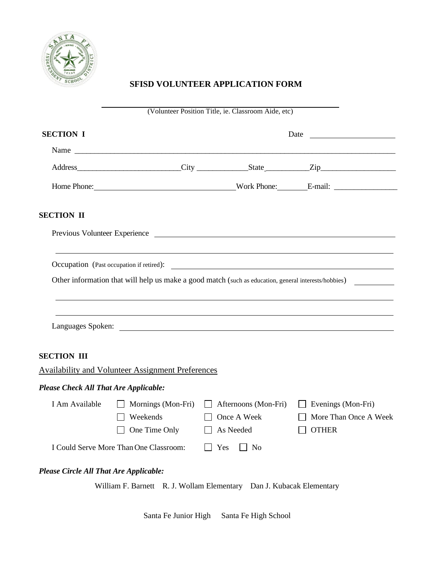

## **SFISD VOLUNTEER APPLICATION FORM**

|                                        |                                                          | (Volunteer Position Title, ie. Classroom Aide, etc)                                                |                                                                                                      |  |
|----------------------------------------|----------------------------------------------------------|----------------------------------------------------------------------------------------------------|------------------------------------------------------------------------------------------------------|--|
| <b>SECTION I</b>                       |                                                          |                                                                                                    |                                                                                                      |  |
|                                        |                                                          |                                                                                                    |                                                                                                      |  |
|                                        |                                                          |                                                                                                    |                                                                                                      |  |
|                                        |                                                          |                                                                                                    |                                                                                                      |  |
| <b>SECTION II</b>                      |                                                          |                                                                                                    |                                                                                                      |  |
|                                        |                                                          |                                                                                                    | Previous Volunteer Experience                                                                        |  |
|                                        |                                                          |                                                                                                    | ,我们也不能在这里的时候,我们也不能在这里的时候,我们也不能会在这里,我们也不能会在这里的时候,我们也不能会在这里的时候,我们也不能会在这里的时候,我们也不能会                     |  |
|                                        |                                                          |                                                                                                    | Other information that will help us make a good match (such as education, general interests/hobbies) |  |
|                                        |                                                          |                                                                                                    |                                                                                                      |  |
|                                        |                                                          |                                                                                                    |                                                                                                      |  |
| <b>SECTION III</b>                     |                                                          |                                                                                                    |                                                                                                      |  |
|                                        | <b>Availability and Volunteer Assignment Preferences</b> |                                                                                                    |                                                                                                      |  |
| Please Check All That Are Applicable:  |                                                          |                                                                                                    |                                                                                                      |  |
| I Am Available                         | Weekends<br>One Time Only                                | Mornings (Mon-Fri) Afternoons (Mon-Fri) Evenings (Mon-Fri)<br>□ Once A Week<br>$\Box$<br>As Needed | More Than Once A Week<br>$\overline{\phantom{0}}$<br><b>OTHER</b>                                    |  |
|                                        | I Could Serve More Than One Classroom:                   | Yes<br>$\Box$ No                                                                                   |                                                                                                      |  |
| Please Circle All That Are Applicable: |                                                          |                                                                                                    |                                                                                                      |  |
|                                        |                                                          | William F. Barnett R. J. Wollam Elementary Dan J. Kubacak Elementary                               |                                                                                                      |  |
|                                        |                                                          |                                                                                                    |                                                                                                      |  |

Santa Fe Junior High Santa Fe High School